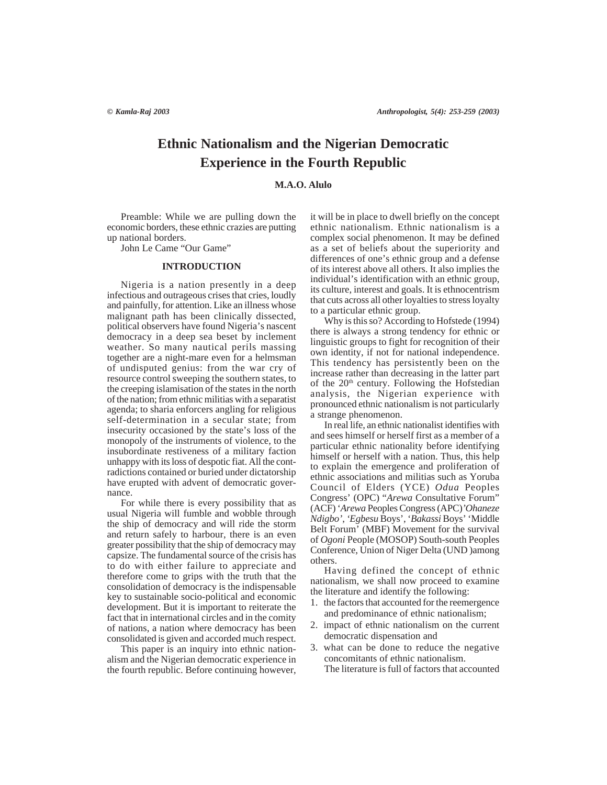# **Ethnic Nationalism and the Nigerian Democratic Experience in the Fourth Republic**

# **M.A.O. Alulo**

Preamble: While we are pulling down the economic borders, these ethnic crazies are putting up national borders.

John Le Came "Our Game"

### **INTRODUCTION**

Nigeria is a nation presently in a deep infectious and outrageous crises that cries, loudly and painfully, for attention. Like an illness whose malignant path has been clinically dissected, political observers have found Nigeria's nascent democracy in a deep sea beset by inclement weather. So many nautical perils massing together are a night-mare even for a helmsman of undisputed genius: from the war cry of resource control sweeping the southern states, to the creeping islamisation of the states in the north of the nation; from ethnic militias with a separatist agenda; to sharia enforcers angling for religious self-determination in a secular state; from insecurity occasioned by the state's loss of the monopoly of the instruments of violence, to the insubordinate restiveness of a military faction unhappy with its loss of despotic fiat. All the contradictions contained or buried under dictatorship have erupted with advent of democratic governance.

For while there is every possibility that as usual Nigeria will fumble and wobble through the ship of democracy and will ride the storm and return safely to harbour, there is an even greater possibility that the ship of democracy may capsize. The fundamental source of the crisis has to do with either failure to appreciate and therefore come to grips with the truth that the consolidation of democracy is the indispensable key to sustainable socio-political and economic development. But it is important to reiterate the fact that in international circles and in the comity of nations, a nation where democracy has been consolidated is given and accorded much respect.

This paper is an inquiry into ethnic nationalism and the Nigerian democratic experience in the fourth republic. Before continuing however,

it will be in place to dwell briefly on the concept ethnic nationalism. Ethnic nationalism is a complex social phenomenon. It may be defined as a set of beliefs about the superiority and differences of one's ethnic group and a defense of its interest above all others. It also implies the individual's identification with an ethnic group, its culture, interest and goals. It is ethnocentrism that cuts across all other loyalties to stress loyalty to a particular ethnic group.

Why is this so? According to Hofstede (1994) there is always a strong tendency for ethnic or linguistic groups to fight for recognition of their own identity, if not for national independence. This tendency has persistently been on the increase rather than decreasing in the latter part of the  $20<sup>th</sup>$  century. Following the Hofstedian analysis, the Nigerian experience with pronounced ethnic nationalism is not particularly a strange phenomenon.

In real life, an ethnic nationalist identifies with and sees himself or herself first as a member of a particular ethnic nationality before identifying himself or herself with a nation. Thus, this help to explain the emergence and proliferation of ethnic associations and militias such as Yoruba Council of Elders (YCE) *Odua* Peoples Congress' (OPC) "*Arewa* Consultative Forum" (ACF) '*Arewa* Peoples Congress (APC)*'Ohaneze Ndigbo'*, *'Egbesu* Boys', '*Bakassi* Boys' 'Middle Belt Forum' (MBF) Movement for the survival of *Ogoni* People (MOSOP) South-south Peoples Conference, Union of Niger Delta (UND )among others.

Having defined the concept of ethnic nationalism, we shall now proceed to examine the literature and identify the following:

- 1. the factors that accounted for the reemergence and predominance of ethnic nationalism;
- 2. impact of ethnic nationalism on the current democratic dispensation and
- 3. what can be done to reduce the negative concomitants of ethnic nationalism. The literature is full of factors that accounted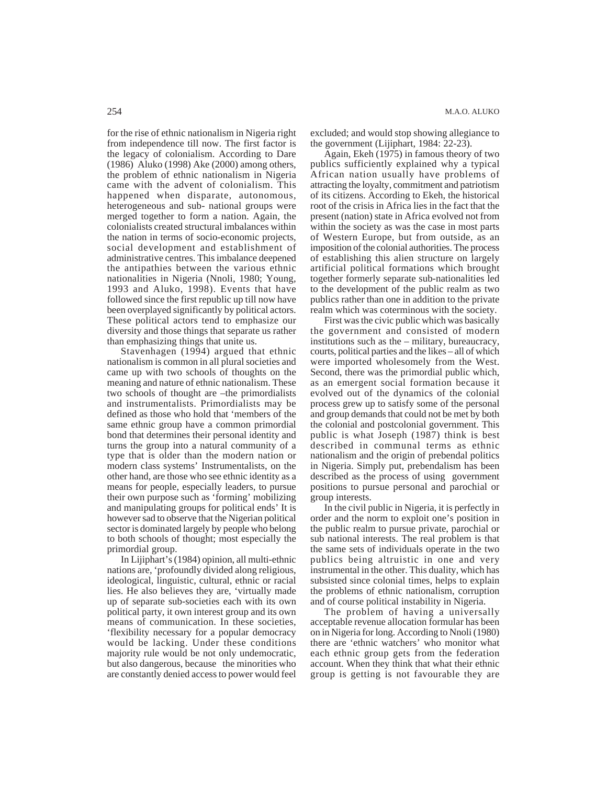for the rise of ethnic nationalism in Nigeria right from independence till now. The first factor is the legacy of colonialism. According to Dare (1986) Aluko (1998) Ake (2000) among others, the problem of ethnic nationalism in Nigeria came with the advent of colonialism. This happened when disparate, autonomous, heterogeneous and sub- national groups were merged together to form a nation. Again, the colonialists created structural imbalances within the nation in terms of socio-economic projects, social development and establishment of administrative centres. This imbalance deepened the antipathies between the various ethnic nationalities in Nigeria (Nnoli, 1980; Young, 1993 and Aluko, 1998). Events that have followed since the first republic up till now have been overplayed significantly by political actors. These political actors tend to emphasize our diversity and those things that separate us rather than emphasizing things that unite us.

Stavenhagen (1994) argued that ethnic nationalism is common in all plural societies and came up with two schools of thoughts on the meaning and nature of ethnic nationalism. These two schools of thought are –the primordialists and instrumentalists. Primordialists may be defined as those who hold that 'members of the same ethnic group have a common primordial bond that determines their personal identity and turns the group into a natural community of a type that is older than the modern nation or modern class systems' Instrumentalists, on the other hand, are those who see ethnic identity as a means for people, especially leaders, to pursue their own purpose such as 'forming' mobilizing and manipulating groups for political ends' It is however sad to observe that the Nigerian political sector is dominated largely by people who belong to both schools of thought; most especially the primordial group.

In Lijiphart's (1984) opinion, all multi-ethnic nations are, 'profoundly divided along religious, ideological, linguistic, cultural, ethnic or racial lies. He also believes they are, 'virtually made up of separate sub-societies each with its own political party, it own interest group and its own means of communication. In these societies, 'flexibility necessary for a popular democracy would be lacking. Under these conditions majority rule would be not only undemocratic, but also dangerous, because the minorities who are constantly denied access to power would feel

excluded; and would stop showing allegiance to the government (Lijiphart, 1984: 22-23).

Again, Ekeh (1975) in famous theory of two publics sufficiently explained why a typical African nation usually have problems of attracting the loyalty, commitment and patriotism of its citizens. According to Ekeh, the historical root of the crisis in Africa lies in the fact that the present (nation) state in Africa evolved not from within the society as was the case in most parts of Western Europe, but from outside, as an imposition of the colonial authorities. The process of establishing this alien structure on largely artificial political formations which brought together formerly separate sub-nationalities led to the development of the public realm as two publics rather than one in addition to the private realm which was coterminous with the society.

First was the civic public which was basically the government and consisted of modern institutions such as the – military, bureaucracy, courts, political parties and the likes – all of which were imported wholesomely from the West. Second, there was the primordial public which, as an emergent social formation because it evolved out of the dynamics of the colonial process grew up to satisfy some of the personal and group demands that could not be met by both the colonial and postcolonial government. This public is what Joseph (1987) think is best described in communal terms as ethnic nationalism and the origin of prebendal politics in Nigeria. Simply put, prebendalism has been described as the process of using government positions to pursue personal and parochial or group interests.

In the civil public in Nigeria, it is perfectly in order and the norm to exploit one's position in the public realm to pursue private, parochial or sub national interests. The real problem is that the same sets of individuals operate in the two publics being altruistic in one and very instrumental in the other. This duality, which has subsisted since colonial times, helps to explain the problems of ethnic nationalism, corruption and of course political instability in Nigeria.

The problem of having a universally acceptable revenue allocation formular has been on in Nigeria for long. According to Nnoli (1980) there are 'ethnic watchers' who monitor what each ethnic group gets from the federation account. When they think that what their ethnic group is getting is not favourable they are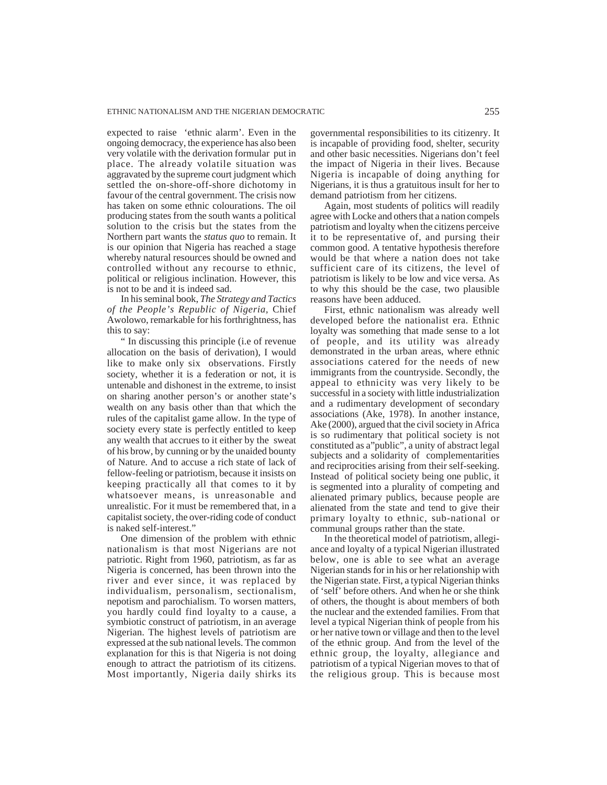expected to raise 'ethnic alarm'. Even in the ongoing democracy, the experience has also been very volatile with the derivation formular put in place. The already volatile situation was aggravated by the supreme court judgment which settled the on-shore-off-shore dichotomy in favour of the central government. The crisis now has taken on some ethnic colourations. The oil producing states from the south wants a political solution to the crisis but the states from the Northern part wants the *status quo* to remain. It is our opinion that Nigeria has reached a stage whereby natural resources should be owned and controlled without any recourse to ethnic, political or religious inclination. However, this is not to be and it is indeed sad.

In his seminal book, *The Strategy and Tactics of the People's Republic of Nigeria,* Chief Awolowo, remarkable for his forthrightness, has this to say:

" In discussing this principle (i.e of revenue allocation on the basis of derivation), I would like to make only six observations. Firstly society, whether it is a federation or not, it is untenable and dishonest in the extreme, to insist on sharing another person's or another state's wealth on any basis other than that which the rules of the capitalist game allow. In the type of society every state is perfectly entitled to keep any wealth that accrues to it either by the sweat of his brow, by cunning or by the unaided bounty of Nature. And to accuse a rich state of lack of fellow-feeling or patriotism, because it insists on keeping practically all that comes to it by whatsoever means, is unreasonable and unrealistic. For it must be remembered that, in a capitalist society, the over-riding code of conduct is naked self-interest."

One dimension of the problem with ethnic nationalism is that most Nigerians are not patriotic. Right from 1960, patriotism, as far as Nigeria is concerned, has been thrown into the river and ever since, it was replaced by individualism, personalism, sectionalism, nepotism and parochialism. To worsen matters, you hardly could find loyalty to a cause, a symbiotic construct of patriotism, in an average Nigerian. The highest levels of patriotism are expressed at the sub national levels. The common explanation for this is that Nigeria is not doing enough to attract the patriotism of its citizens. Most importantly, Nigeria daily shirks its

governmental responsibilities to its citizenry. It is incapable of providing food, shelter, security and other basic necessities. Nigerians don't feel the impact of Nigeria in their lives. Because Nigeria is incapable of doing anything for Nigerians, it is thus a gratuitous insult for her to demand patriotism from her citizens.

Again, most students of politics will readily agree with Locke and others that a nation compels patriotism and loyalty when the citizens perceive it to be representative of, and pursing their common good. A tentative hypothesis therefore would be that where a nation does not take sufficient care of its citizens, the level of patriotism is likely to be low and vice versa. As to why this should be the case, two plausible reasons have been adduced.

First, ethnic nationalism was already well developed before the nationalist era. Ethnic loyalty was something that made sense to a lot of people, and its utility was already demonstrated in the urban areas, where ethnic associations catered for the needs of new immigrants from the countryside. Secondly, the appeal to ethnicity was very likely to be successful in a society with little industrialization and a rudimentary development of secondary associations (Ake, 1978). In another instance, Ake (2000), argued that the civil society in Africa is so rudimentary that political society is not constituted as a"public", a unity of abstract legal subjects and a solidarity of complementarities and reciprocities arising from their self-seeking. Instead of political society being one public, it is segmented into a plurality of competing and alienated primary publics, because people are alienated from the state and tend to give their primary loyalty to ethnic, sub-national or communal groups rather than the state.

In the theoretical model of patriotism, allegiance and loyalty of a typical Nigerian illustrated below, one is able to see what an average Nigerian stands for in his or her relationship with the Nigerian state. First, a typical Nigerian thinks of 'self' before others. And when he or she think of others, the thought is about members of both the nuclear and the extended families. From that level a typical Nigerian think of people from his or her native town or village and then to the level of the ethnic group. And from the level of the ethnic group, the loyalty, allegiance and patriotism of a typical Nigerian moves to that of the religious group. This is because most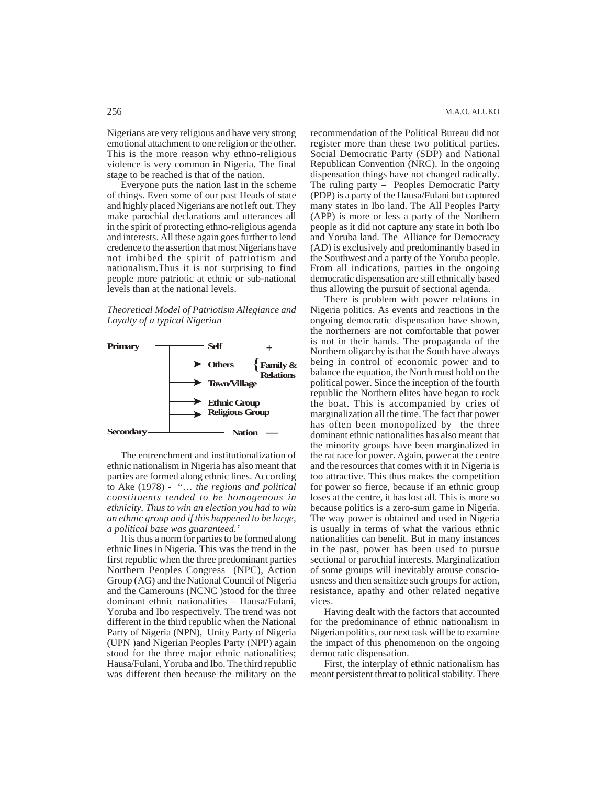Nigerians are very religious and have very strong emotional attachment to one religion or the other. This is the more reason why ethno-religious violence is very common in Nigeria. The final stage to be reached is that of the nation.

Everyone puts the nation last in the scheme of things. Even some of our past Heads of state and highly placed Nigerians are not left out. They make parochial declarations and utterances all in the spirit of protecting ethno-religious agenda and interests. All these again goes further to lend credence to the assertion that most Nigerians have not imbibed the spirit of patriotism and nationalism.Thus it is not surprising to find people more patriotic at ethnic or sub-national levels than at the national levels.

*Theoretical Model of Patriotism Allegiance and Loyalty of a typical Nigerian*



The entrenchment and institutionalization of ethnic nationalism in Nigeria has also meant that parties are formed along ethnic lines. According to Ake (1978) - "… *the regions and political constituents tended to be homogenous in ethnicity. Thus to win an election you had to win an ethnic group and if this happened to be large, a political base was guaranteed.'*

It is thus a norm for parties to be formed along ethnic lines in Nigeria. This was the trend in the first republic when the three predominant parties Northern Peoples Congress (NPC), Action Group (AG) and the National Council of Nigeria and the Camerouns (NCNC )stood for the three dominant ethnic nationalities – Hausa/Fulani, Yoruba and Ibo respectively. The trend was not different in the third republic when the National Party of Nigeria (NPN), Unity Party of Nigeria (UPN )and Nigerian Peoples Party (NPP) again stood for the three major ethnic nationalities; Hausa/Fulani, Yoruba and Ibo. The third republic was different then because the military on the recommendation of the Political Bureau did not register more than these two political parties. Social Democratic Party (SDP) and National Republican Convention (NRC). In the ongoing dispensation things have not changed radically. The ruling party – Peoples Democratic Party (PDP) is a party of the Hausa/Fulani but captured many states in Ibo land. The All Peoples Party (APP) is more or less a party of the Northern people as it did not capture any state in both Ibo and Yoruba land. The Alliance for Democracy (AD) is exclusively and predominantly based in the Southwest and a party of the Yoruba people. From all indications, parties in the ongoing democratic dispensation are still ethnically based thus allowing the pursuit of sectional agenda.

There is problem with power relations in Nigeria politics. As events and reactions in the ongoing democratic dispensation have shown, the northerners are not comfortable that power is not in their hands. The propaganda of the Northern oligarchy is that the South have always being in control of economic power and to balance the equation, the North must hold on the political power. Since the inception of the fourth republic the Northern elites have began to rock the boat. This is accompanied by cries of marginalization all the time. The fact that power has often been monopolized by the three dominant ethnic nationalities has also meant that the minority groups have been marginalized in the rat race for power. Again, power at the centre and the resources that comes with it in Nigeria is too attractive. This thus makes the competition for power so fierce, because if an ethnic group loses at the centre, it has lost all. This is more so because politics is a zero-sum game in Nigeria. The way power is obtained and used in Nigeria is usually in terms of what the various ethnic nationalities can benefit. But in many instances in the past, power has been used to pursue sectional or parochial interests. Marginalization of some groups will inevitably arouse consciousness and then sensitize such groups for action, resistance, apathy and other related negative vices.

Having dealt with the factors that accounted for the predominance of ethnic nationalism in Nigerian politics, our next task will be to examine the impact of this phenomenon on the ongoing democratic dispensation.

First, the interplay of ethnic nationalism has meant persistent threat to political stability. There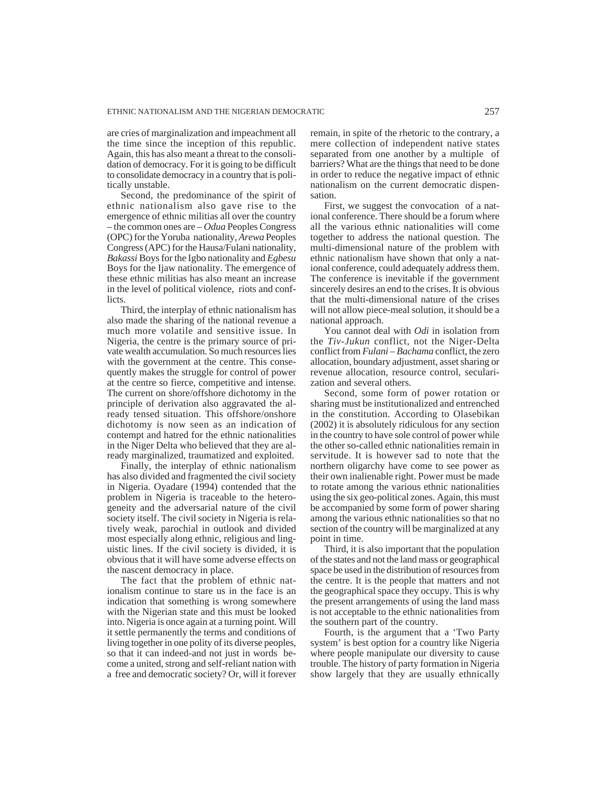are cries of marginalization and impeachment all the time since the inception of this republic. Again, this has also meant a threat to the consolidation of democracy. For it is going to be difficult to consolidate democracy in a country that is politically unstable.

Second, the predominance of the spirit of ethnic nationalism also gave rise to the emergence of ethnic militias all over the country – the common ones are – *Odua* Peoples Congress (OPC) for the Yoruba nationality, *Arewa* Peoples Congress (APC) for the Hausa/Fulani nationality, *Bakassi* Boys for the Igbo nationality and *Egbesu* Boys for the Ijaw nationality. The emergence of these ethnic militias has also meant an increase in the level of political violence, riots and conflicts.

Third, the interplay of ethnic nationalism has also made the sharing of the national revenue a much more volatile and sensitive issue. In Nigeria, the centre is the primary source of private wealth accumulation. So much resources lies with the government at the centre. This consequently makes the struggle for control of power at the centre so fierce, competitive and intense. The current on shore/offshore dichotomy in the principle of derivation also aggravated the already tensed situation. This offshore/onshore dichotomy is now seen as an indication of contempt and hatred for the ethnic nationalities in the Niger Delta who believed that they are already marginalized, traumatized and exploited.

Finally, the interplay of ethnic nationalism has also divided and fragmented the civil society in Nigeria. Oyadare (1994) contended that the problem in Nigeria is traceable to the heterogeneity and the adversarial nature of the civil society itself. The civil society in Nigeria is relatively weak, parochial in outlook and divided most especially along ethnic, religious and linguistic lines. If the civil society is divided, it is obvious that it will have some adverse effects on the nascent democracy in place.

The fact that the problem of ethnic nationalism continue to stare us in the face is an indication that something is wrong somewhere with the Nigerian state and this must be looked into. Nigeria is once again at a turning point. Will it settle permanently the terms and conditions of living together in one polity of its diverse peoples, so that it can indeed-and not just in words become a united, strong and self-reliant nation with a free and democratic society? Or, will it forever

remain, in spite of the rhetoric to the contrary, a mere collection of independent native states separated from one another by a multiple of barriers? What are the things that need to be done in order to reduce the negative impact of ethnic nationalism on the current democratic dispensation.

First, we suggest the convocation of a national conference. There should be a forum where all the various ethnic nationalities will come together to address the national question. The multi-dimensional nature of the problem with ethnic nationalism have shown that only a national conference, could adequately address them. The conference is inevitable if the government sincerely desires an end to the crises. It is obvious that the multi-dimensional nature of the crises will not allow piece-meal solution, it should be a national approach.

You cannot deal with *Odi* in isolation from the *Tiv-Jukun* conflict, not the Niger-Delta conflict from *Fulani – Bachama* conflict, the zero allocation, boundary adjustment, asset sharing or revenue allocation, resource control, secularization and several others.

Second, some form of power rotation or sharing must be institutionalized and entrenched in the constitution. According to Olasebikan (2002) it is absolutely ridiculous for any section in the country to have sole control of power while the other so-called ethnic nationalities remain in servitude. It is however sad to note that the northern oligarchy have come to see power as their own inalienable right. Power must be made to rotate among the various ethnic nationalities using the six geo-political zones. Again, this must be accompanied by some form of power sharing among the various ethnic nationalities so that no section of the country will be marginalized at any point in time.

Third, it is also important that the population of the states and not the land mass or geographical space be used in the distribution of resources from the centre. It is the people that matters and not the geographical space they occupy. This is why the present arrangements of using the land mass is not acceptable to the ethnic nationalities from the southern part of the country.

Fourth, is the argument that a 'Two Party system' is best option for a country like Nigeria where people manipulate our diversity to cause trouble. The history of party formation in Nigeria show largely that they are usually ethnically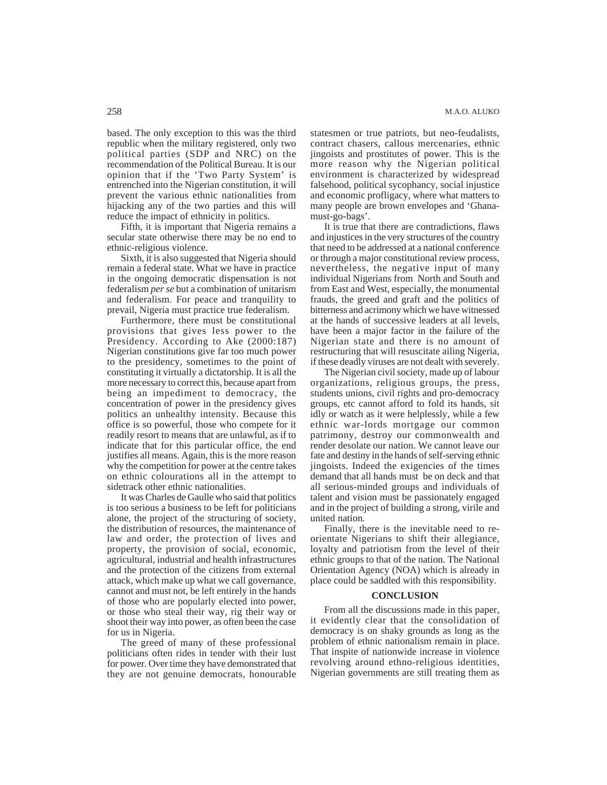based. The only exception to this was the third republic when the military registered, only two political parties (SDP and NRC) on the recommendation of the Political Bureau. It is our opinion that if the 'Two Party System' is entrenched into the Nigerian constitution, it will prevent the various ethnic nationalities from hijacking any of the two parties and this will reduce the impact of ethnicity in politics.

Fifth, it is important that Nigeria remains a secular state otherwise there may be no end to ethnic-religious violence.

Sixth, it is also suggested that Nigeria should remain a federal state. What we have in practice in the ongoing democratic dispensation is not federalism *per se* but a combination of unitarism and federalism. For peace and tranquility to prevail, Nigeria must practice true federalism.

Furthermore, there must be constitutional provisions that gives less power to the Presidency. According to Ake (2000:187) Nigerian constitutions give far too much power to the presidency, sometimes to the point of constituting it virtually a dictatorship. It is all the more necessary to correct this, because apart from being an impediment to democracy, the concentration of power in the presidency gives politics an unhealthy intensity. Because this office is so powerful, those who compete for it readily resort to means that are unlawful, as if to indicate that for this particular office, the end justifies all means. Again, this is the more reason why the competition for power at the centre takes on ethnic colourations all in the attempt to sidetrack other ethnic nationalities.

It was Charles de Gaulle who said that politics is too serious a business to be left for politicians alone, the project of the structuring of society, the distribution of resources, the maintenance of law and order, the protection of lives and property, the provision of social, economic, agricultural, industrial and health infrastructures and the protection of the citizens from external attack, which make up what we call governance, cannot and must not, be left entirely in the hands of those who are popularly elected into power, or those who steal their way, rig their way or shoot their way into power, as often been the case for us in Nigeria.

The greed of many of these professional politicians often rides in tender with their lust for power. Over time they have demonstrated that they are not genuine democrats, honourable statesmen or true patriots, but neo-feudalists, contract chasers, callous mercenaries, ethnic jingoists and prostitutes of power. This is the more reason why the Nigerian political environment is characterized by widespread falsehood, political sycophancy, social injustice and economic profligacy, where what matters to many people are brown envelopes and 'Ghanamust-go-bags'.

It is true that there are contradictions, flaws and injustices in the very structures of the country that need to be addressed at a national conference or through a major constitutional review process, nevertheless, the negative input of many individual Nigerians from North and South and from East and West, especially, the monumental frauds, the greed and graft and the politics of bitterness and acrimony which we have witnessed at the hands of successive leaders at all levels, have been a major factor in the failure of the Nigerian state and there is no amount of restructuring that will resuscitate ailing Nigeria, if these deadly viruses are not dealt with severely.

The Nigerian civil society, made up of labour organizations, religious groups, the press, students unions, civil rights and pro-democracy groups, etc cannot afford to fold its hands, sit idly or watch as it were helplessly, while a few ethnic war-lords mortgage our common patrimony, destroy our commonwealth and render desolate our nation. We cannot leave our fate and destiny in the hands of self-serving ethnic jingoists. Indeed the exigencies of the times demand that all hands must be on deck and that all serious-minded groups and individuals of talent and vision must be passionately engaged and in the project of building a strong, virile and united nation.

Finally, there is the inevitable need to reorientate Nigerians to shift their allegiance, loyalty and patriotism from the level of their ethnic groups to that of the nation. The National Orientation Agency (NOA) which is already in place could be saddled with this responsibility.

## **CONCLUSION**

From all the discussions made in this paper, it evidently clear that the consolidation of democracy is on shaky grounds as long as the problem of ethnic nationalism remain in place. That inspite of nationwide increase in violence revolving around ethno-religious identities, Nigerian governments are still treating them as